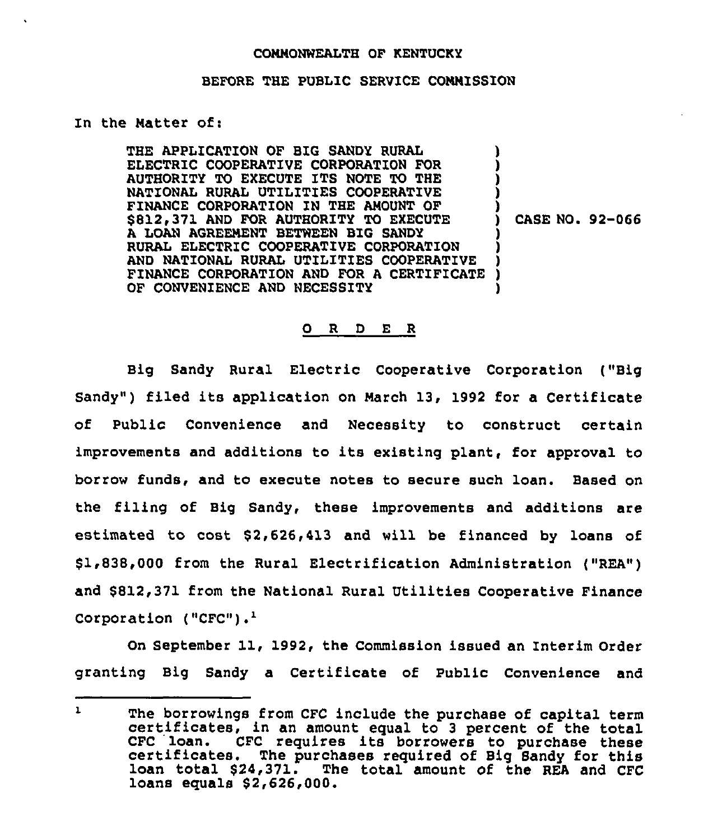## COMMONWEALTH OF KENTUCKY

## BEFORE THE PUBLIC SERVICE COMMISSION

## In the Matter of:

THE APPLICATION OF BIG SANDY RURAL ELECTRIC COOPERATIVE CORPORATION FOR AUTHORITY TO EXECUTE ITS NOTE TO THE NATIONAL RURAL UTILITIES COOPERATIVE FINANCE CORPORATION ZN THE AMOUNT OF \$812,371 AND FOR AUTHORITY TO EXECUTE A LOAN AGREEMENT BETNEEN BIG SANDY RURAL ELECTRIC COOPERATIVE CORPORATION AND NATIONAL RURAL UTILITIES COOPERATIVE FINANCE CORPORATION AND FOR A CERTIFICATE OF CONVENIENCE AND NECESSITY ) ) ) **)** ) ) CASE NO. 92-066 ) ) ) ) )

## 0 <sup>R</sup> <sup>D</sup> E <sup>R</sup>

Big Sandy Rural Electric Cooperative Corporation ("Big Sandy") filed its application on March 13, 1992 for a Certificate of Public Convenience and Necessity to construct certain improvements and additions to its existing plant, for approval to borrow funds, and to execute notes to secure such loan. Based on the filing of Big Sandy, these improvements and additions are estimated to  $cost$  \$2,626,413 and will be financed by loans of \$ 1,838,000 from the Rural Electrification Administration ("REA") and \$812,371 from the National Rural Utilities Cooperative Finance Corporation  $("CFC")$ .<sup>1</sup>

On September 11, 1992, the Commission issued an Interim Order granting Big Sandy a Certificate of Public Convenience and

 $\mathbf{L}$ The borrowings from CFC include the purchase of capital term certificates, in an amount equal to 3 percent of the total CFC loan. CFC requires its borrowers to purchase these certificates. The purchases required of Big Sandy for this loan total \$24,371. The total amount of the REA and CFC loans equals \$2,626,000.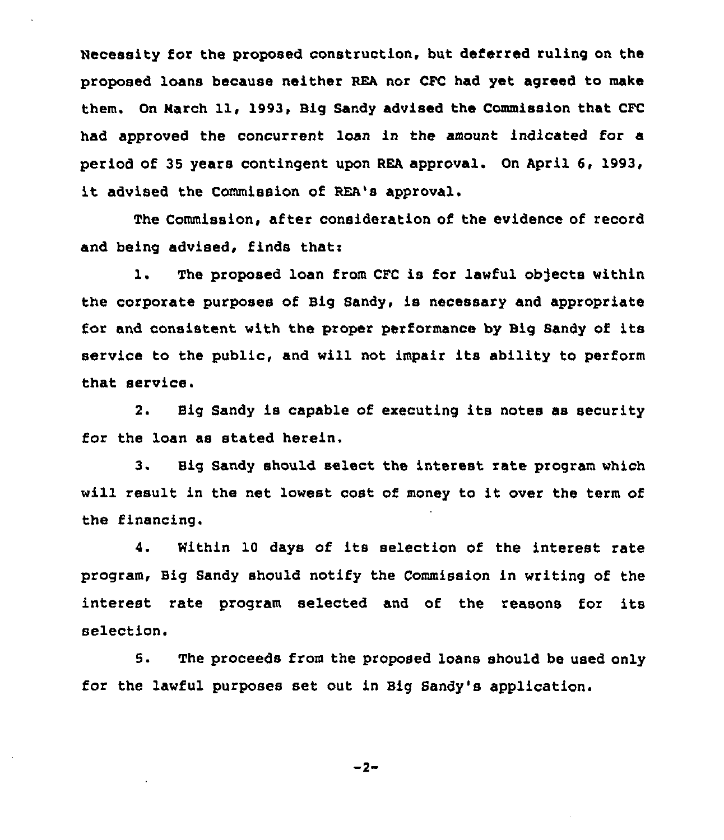Necessity for the proposed construction, but deferred ruling on the proposed loans because neither REA nor CFC had yet agreed to make them. On March 11, 1993, Big Sandy advised the Commission that CFC had approved the concurrent loan in the amount indicated for a period of 3S years contingent upon REA approval. On April 6, 1993, it advised the Commission of REA's approval.

The Commission, after consideration of the evidence of record and being advised, finds that:

1. The proposed loan from CFC is for lawful objects within the corporate purposes of Big Sandy, is necessary and appropriate for and consistent with the proper performance by Big Sandy of its service to the public, and will not impair its ability to perform that service.

2. Big Sandy is capable of executing its notes as security for the loan as stated herein.

3. Big Sandy should select the interest rate program which will result in the net lowest cost of money to it over the term of the financing.

4. Within 10 days of its selection of the interest rate program, Big Sandy should notify the Commission in writing of the interest rate program selected and of the reasons for its selection.

5. The proceeds from the proposed loans should be used only for the lawful purposes set out in Big Sandy's application.

 $-2-$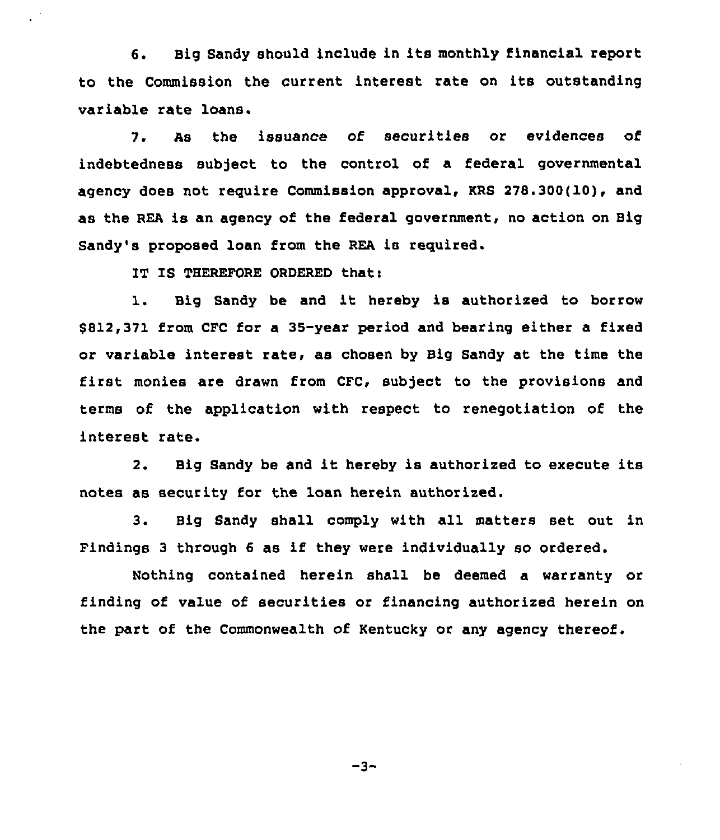6. Big Sandy should include in its monthly financial report to the Commission the current interest rate on its outstanding variable rate loans.

7. As the issuance of securities or evidences of indebtedness subject to the control of a federal governmental agency does not require Commission approval, KRS 278.300(10), and as the REA is an agency of the federal government, no action on Big Sandy's proposed loan from the REA is required.

IT IS THEREFORE ORDERED that:

1. Big Sandy be and it hereby is authorized to borrow \$812,371 from CFC for a 35-year period and bearing either a fixed or variable interest rate, as chosen by Big Sandy at the time the first monies are drawn from CFC, subject to the provisions and terms of the application with respect to renegotiation of the interest rate.

2. Big Sandy be and it hereby is authorized to execute its notes as security for the loan herein authorized.

3. Big Sandy shall comply with all matters set out in Findings <sup>3</sup> through <sup>6</sup> as if they were individually so ordered.

Nothing contained herein shall be deemed a warranty or finding of value of securities or financing authorized herein on the part of the Commonwealth of Kentucky or any agency thereof.

 $-3-$